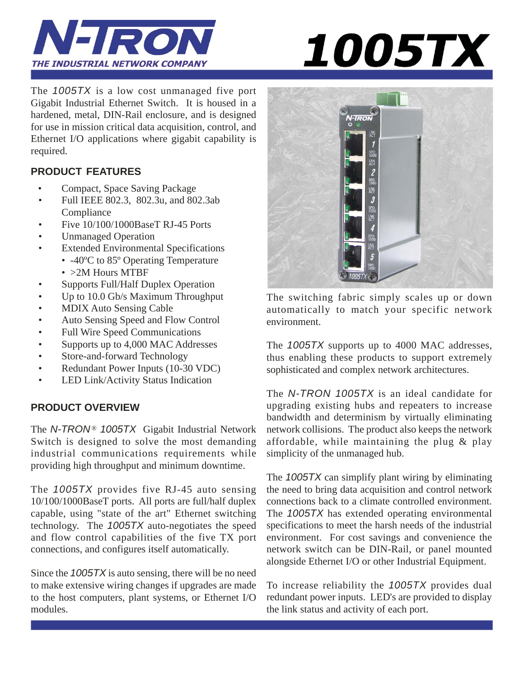



The *1005TX* is a low cost unmanaged five port Gigabit Industrial Ethernet Switch. It is housed in a hardened, metal, DIN-Rail enclosure, and is designed for use in mission critical data acquisition, control, and Ethernet I/O applications where gigabit capability is required.

# **PRODUCT FEATURES**

- Compact, Space Saving Package
- Full IEEE 802.3, 802.3u, and 802.3ab Compliance
- Five 10/100/1000BaseT RJ-45 Ports
- Unmanaged Operation
- Extended Environmental Specifications
	- -40°C to 85° Operating Temperature • > 2M Hours MTBF
- Supports Full/Half Duplex Operation
- Up to 10.0 Gb/s Maximum Throughput
- MDIX Auto Sensing Cable
- Auto Sensing Speed and Flow Control
- Full Wire Speed Communications
- Supports up to 4,000 MAC Addresses
- Store-and-forward Technology
- Redundant Power Inputs (10-30 VDC)
- LED Link/Activity Status Indication

# **PRODUCT OVERVIEW**

The *N-TRON®* 1005TX Gigabit Industrial Network Switch is designed to solve the most demanding industrial communications requirements while providing high throughput and minimum downtime.

The *1005TX* provides five RJ-45 auto sensing 10/100/1000BaseT ports. All ports are full/half duplex capable, using "state of the art" Ethernet switching technology. The *1005TX* auto-negotiates the speed and flow control capabilities of the five TX port connections, and configures itself automatically.

Since the *1005TX* is auto sensing, there will be no need to make extensive wiring changes if upgrades are made to the host computers, plant systems, or Ethernet I/O modules.



The switching fabric simply scales up or down automatically to match your specific network environment.

The *1005TX* supports up to 4000 MAC addresses, thus enabling these products to support extremely sophisticated and complex network architectures.

The *N-TRON 1005TX* is an ideal candidate for upgrading existing hubs and repeaters to increase bandwidth and determinism by virtually eliminating network collisions. The product also keeps the network affordable, while maintaining the plug & play simplicity of the unmanaged hub.

The *1005TX* can simplify plant wiring by eliminating the need to bring data acquisition and control network connections back to a climate controlled environment. The *1005TX* has extended operating environmental specifications to meet the harsh needs of the industrial environment. For cost savings and convenience the network switch can be DIN-Rail, or panel mounted alongside Ethernet I/O or other Industrial Equipment.

To increase reliability the *1005TX* provides dual redundant power inputs. LED's are provided to display the link status and activity of each port.